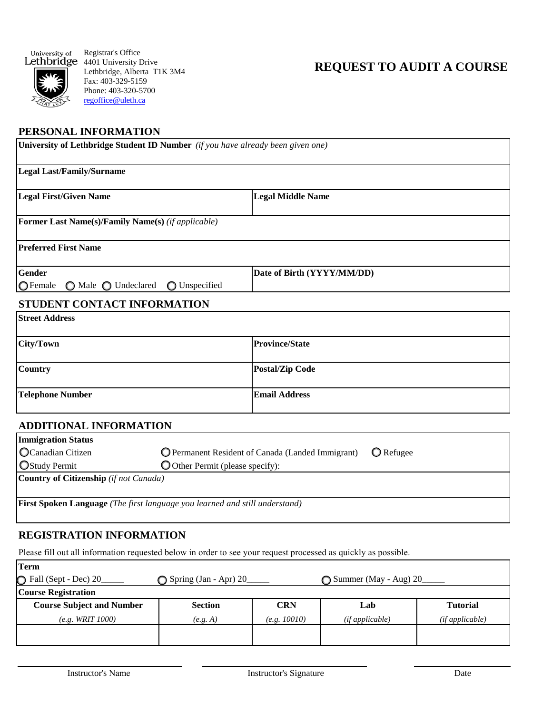

Registrar's Office 4401 University Drive Lethbridge, Alberta T1K 3M4 Fax: 403-329-5159 Phone: 403-320-5700 [regoffice@uleth.ca](mailto:admissions@uleth.ca)

# **REQUEST TO AUDIT A COURSE**

#### **PERSONAL INFORMATION**

| University of Lethbridge Student ID Number (if you have already been given one)    |                                                                       |                            |  |  |  |
|------------------------------------------------------------------------------------|-----------------------------------------------------------------------|----------------------------|--|--|--|
| <b>Legal Last/Family/Surname</b>                                                   |                                                                       |                            |  |  |  |
| <b>Legal First/Given Name</b>                                                      |                                                                       | <b>Legal Middle Name</b>   |  |  |  |
| <b>Former Last Name(s)/Family Name(s)</b> (if applicable)                          |                                                                       |                            |  |  |  |
| <b>Preferred First Name</b>                                                        |                                                                       |                            |  |  |  |
| <b>Gender</b><br>OFemale<br>◯ Male ◯ Undeclared<br>◯ Unspecified                   |                                                                       | Date of Birth (YYYY/MM/DD) |  |  |  |
| STUDENT CONTACT INFORMATION                                                        |                                                                       |                            |  |  |  |
| <b>Street Address</b>                                                              |                                                                       |                            |  |  |  |
| <b>City/Town</b>                                                                   |                                                                       | <b>Province/State</b>      |  |  |  |
| <b>Country</b>                                                                     |                                                                       | <b>Postal/Zip Code</b>     |  |  |  |
| <b>Telephone Number</b>                                                            |                                                                       | <b>Email Address</b>       |  |  |  |
| <b>ADDITIONAL INFORMATION</b>                                                      |                                                                       |                            |  |  |  |
| <b>Immigration Status</b>                                                          |                                                                       |                            |  |  |  |
| OCanadian Citizen                                                                  | O Permanent Resident of Canada (Landed Immigrant)<br><b>O</b> Refugee |                            |  |  |  |
| <b>OStudy Permit</b>                                                               | O Other Permit (please specify):                                      |                            |  |  |  |
| Country of Citizenship (if not Canada)                                             |                                                                       |                            |  |  |  |
| <b>First Spoken Language</b> (The first language you learned and still understand) |                                                                       |                            |  |  |  |
| <b>REGISTRATION INFORMATION</b>                                                    |                                                                       |                            |  |  |  |

## Please fill out all information requested below in order to see your request processed as quickly as possible.

| Term                             |                       |              |                       |                 |  |  |
|----------------------------------|-----------------------|--------------|-----------------------|-----------------|--|--|
| G Fall (Sept - Dec) 20           | Spring (Jan - Apr) 20 |              | Summer (May - Aug) 20 |                 |  |  |
| <b>Course Registration</b>       |                       |              |                       |                 |  |  |
| <b>Course Subject and Number</b> | <b>Section</b>        | <b>CRN</b>   | Lab                   | <b>Tutorial</b> |  |  |
| $(e.g. \, WRIT \, 1000)$         | (e.g. A)              | (e.g. 10010) | (if applicable)       | (ifappliedble)  |  |  |
|                                  |                       |              |                       |                 |  |  |
|                                  |                       |              |                       |                 |  |  |